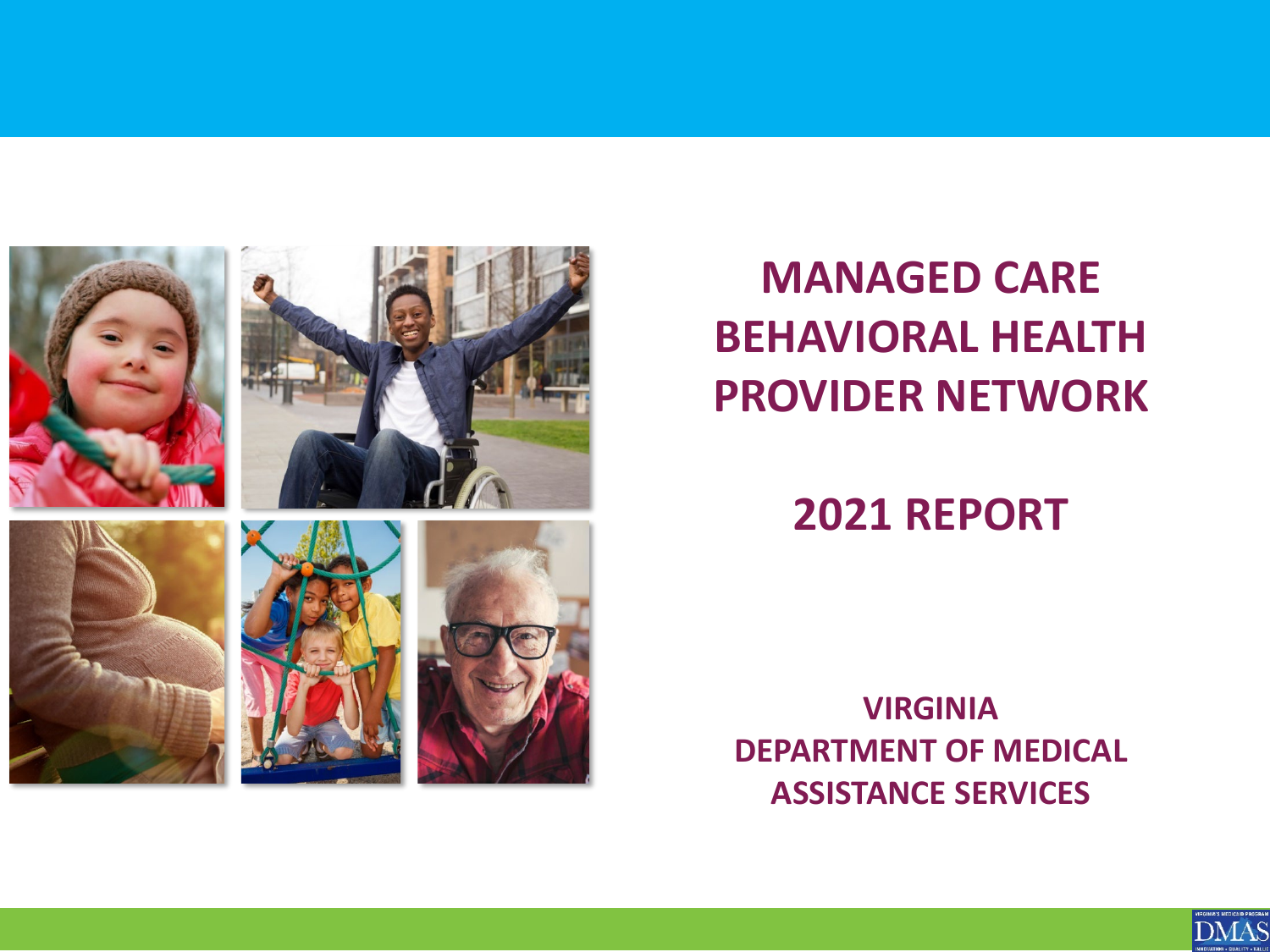

### **MANAGED CARE BEHAVIORAL HEALTH PROVIDER NETWORK**

#### **2021 REPORT**

**VIRGINIA DEPARTMENT OF MEDICAL ASSISTANCE SERVICES**

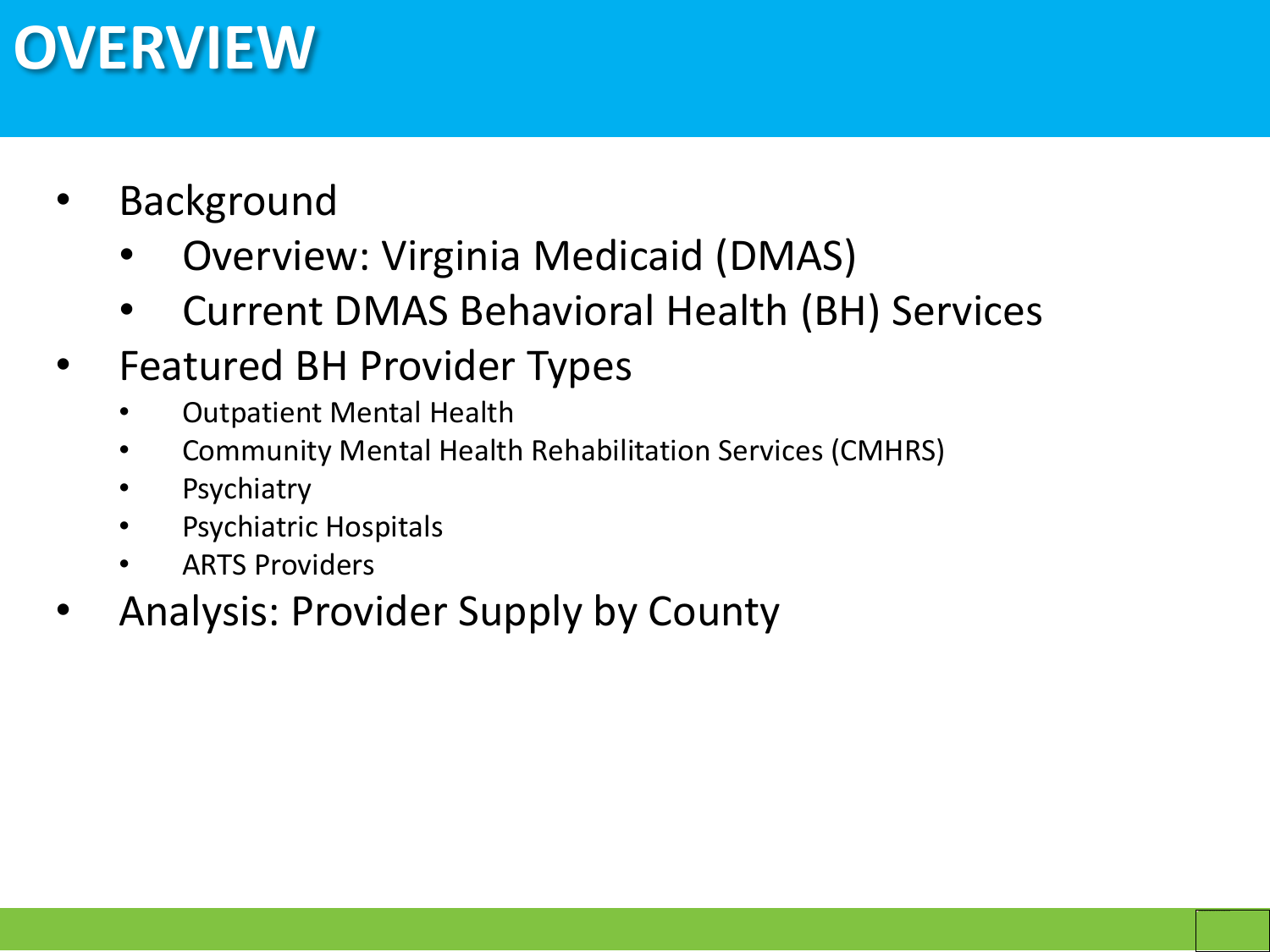# **OVERVIEW**

- **Background** 
	- Overview: Virginia Medicaid (DMAS)
	- Current DMAS Behavioral Health (BH) Services
- Featured BH Provider Types
	- Outpatient Mental Health
	- Community Mental Health Rehabilitation Services (CMHRS)
	- **Psychiatry**
	- Psychiatric Hospitals
	- ARTS Providers
- Analysis: Provider Supply by County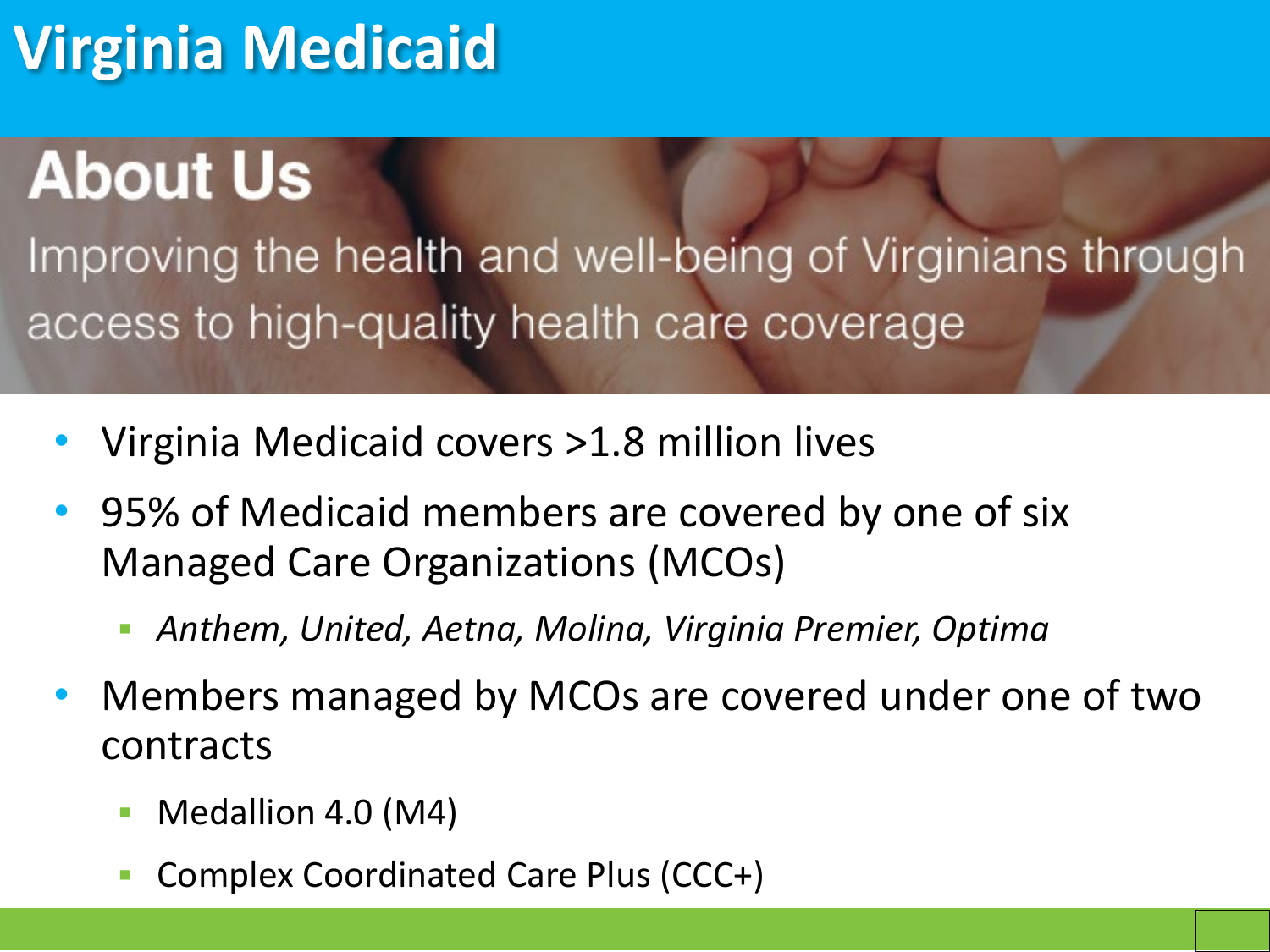# **Virginia Medicaid**

# **About Us**

Improving the health and well-being of Virginians through access to high-quality health care coverage

- Virginia Medicaid covers >1.8 million lives
- 95% of Medicaid members are covered by one of six Managed Care Organizations (MCOs)
	- *Anthem, United, Aetna, Molina, Virginia Premier, Optima*
- Members managed by MCOs are covered under one of two contracts
	- Medallion 4.0 (M4)
	- Complex Coordinated Care Plus (CCC+)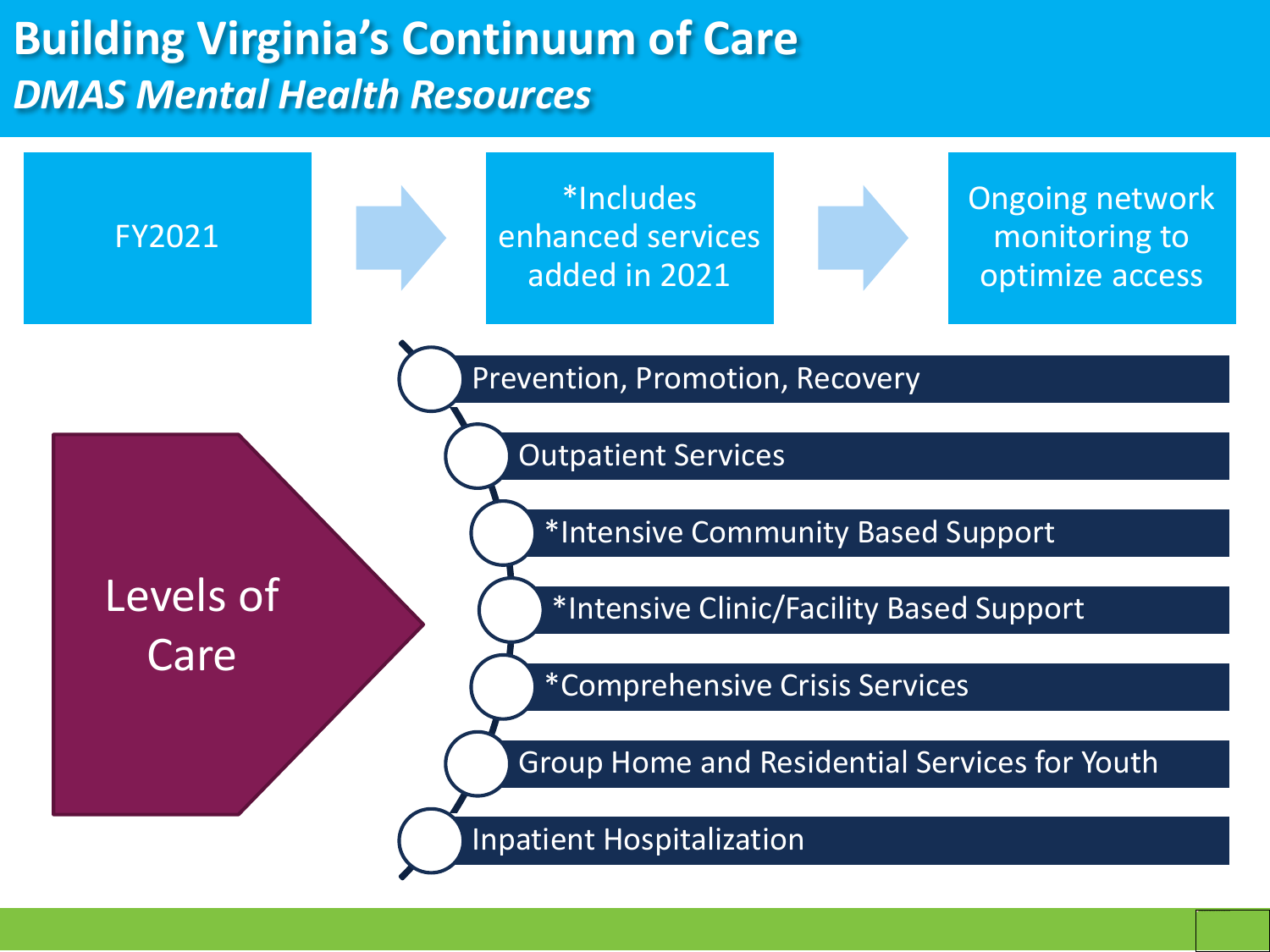### **Building Virginia's Continuum of Care** *DMAS Mental Health Resources*

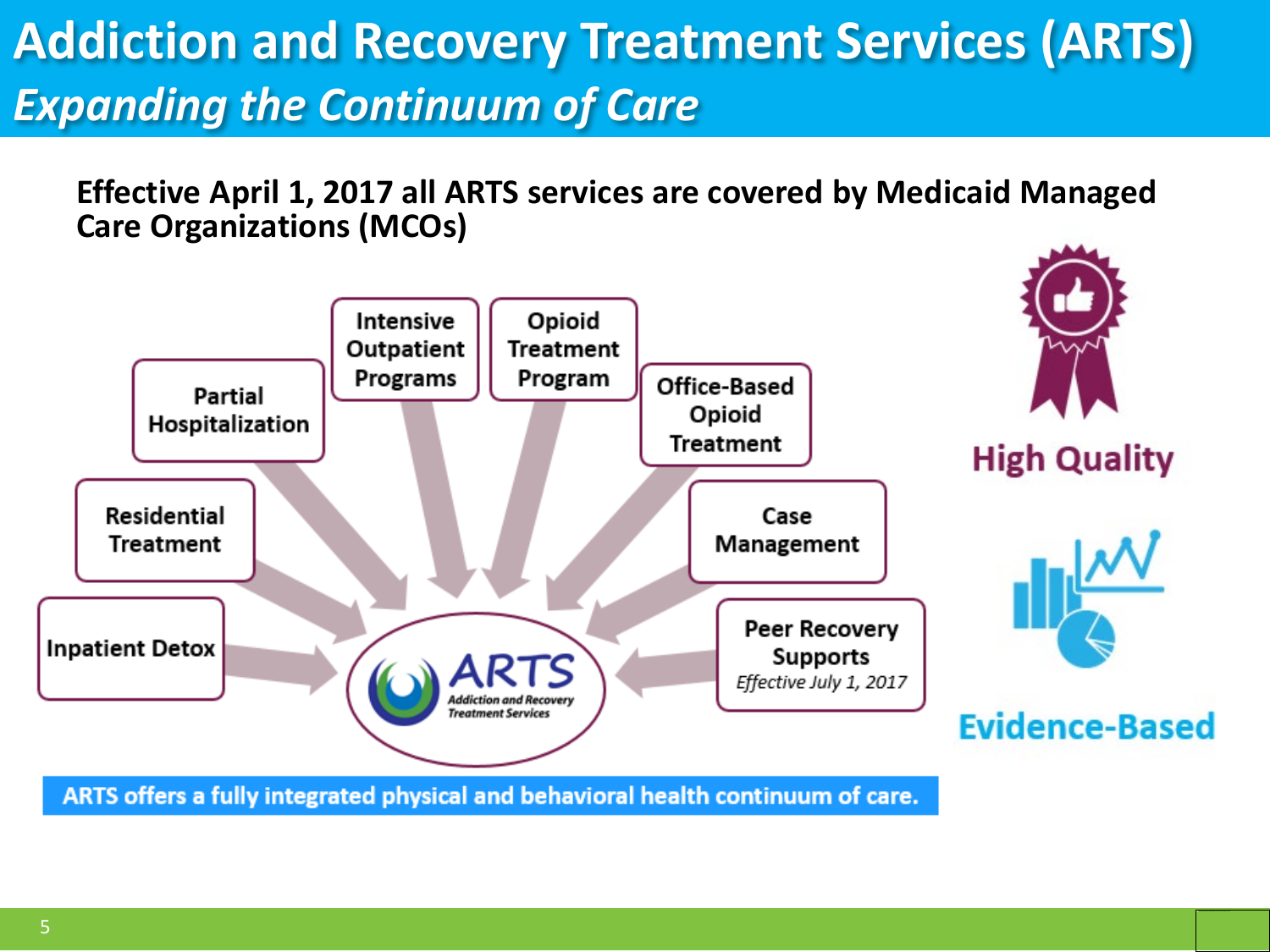## **Addiction and Recovery Treatment Services (ARTS)** *Expanding the Continuum of Care*

**Effective April 1, 2017 all ARTS services are covered by Medicaid Managed Care Organizations (MCOs)**



ARTS offers a fully integrated physical and behavioral health continuum of care.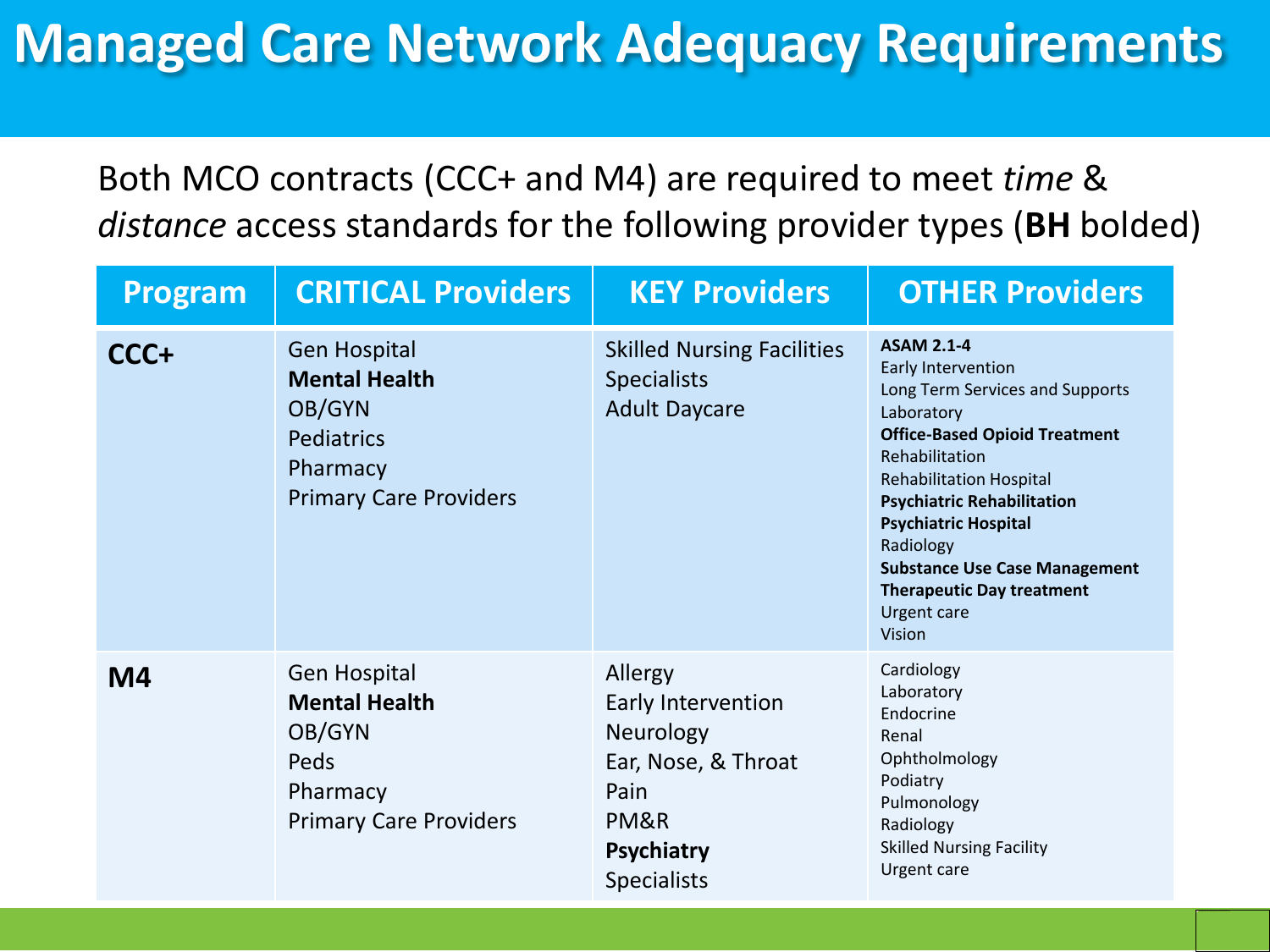## **Managed Care Network Adequacy Requirements**

Both MCO contracts (CCC+ and M4) are required to meet *time* & *distance* access standards for the following provider types (**BH** bolded)

| Program        | <b>CRITICAL Providers</b>                                                                                               | <b>KEY Providers</b>                                                                                                         | <b>OTHER Providers</b>                                                                                                                                                                                                                                                                                                                                                            |
|----------------|-------------------------------------------------------------------------------------------------------------------------|------------------------------------------------------------------------------------------------------------------------------|-----------------------------------------------------------------------------------------------------------------------------------------------------------------------------------------------------------------------------------------------------------------------------------------------------------------------------------------------------------------------------------|
| CCC+           | <b>Gen Hospital</b><br><b>Mental Health</b><br>OB/GYN<br><b>Pediatrics</b><br>Pharmacy<br><b>Primary Care Providers</b> | <b>Skilled Nursing Facilities</b><br><b>Specialists</b><br><b>Adult Daycare</b>                                              | <b>ASAM 2.1-4</b><br>Early Intervention<br>Long Term Services and Supports<br>Laboratory<br><b>Office-Based Opioid Treatment</b><br>Rehabilitation<br><b>Rehabilitation Hospital</b><br><b>Psychiatric Rehabilitation</b><br><b>Psychiatric Hospital</b><br>Radiology<br><b>Substance Use Case Management</b><br><b>Therapeutic Day treatment</b><br><b>Urgent care</b><br>Vision |
| M <sub>4</sub> | <b>Gen Hospital</b><br><b>Mental Health</b><br>OB/GYN<br>Peds<br>Pharmacy<br><b>Primary Care Providers</b>              | Allergy<br>Early Intervention<br>Neurology<br>Ear, Nose, & Throat<br>Pain<br>PM&R<br><b>Psychiatry</b><br><b>Specialists</b> | Cardiology<br>Laboratory<br>Endocrine<br>Renal<br>Ophtholmology<br>Podiatry<br>Pulmonology<br>Radiology<br><b>Skilled Nursing Facility</b><br>Urgent care                                                                                                                                                                                                                         |